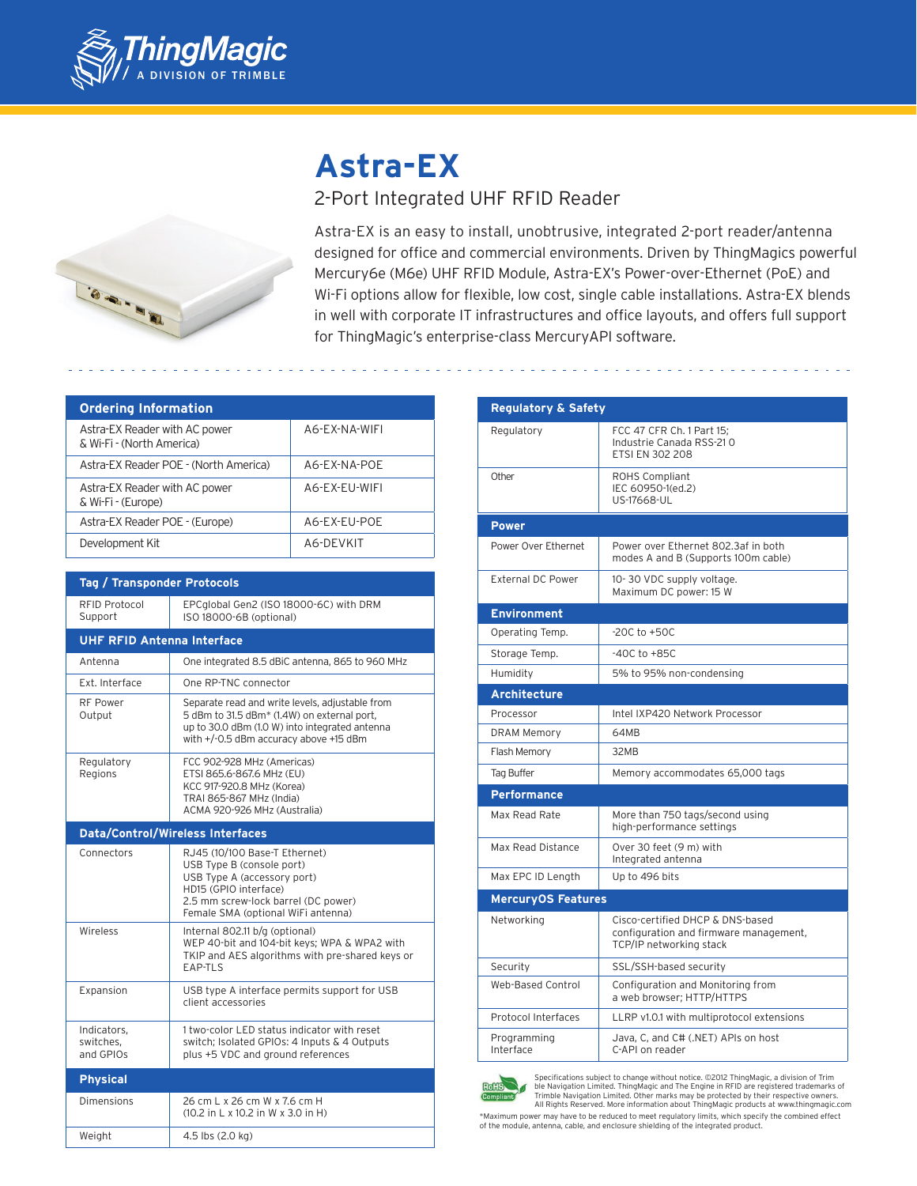

# **Astra-EX**



# 2-Port Integrated UHF RFID Reader

Astra-EX is an easy to install, unobtrusive, integrated 2-port reader/antenna designed for office and commercial environments. Driven by ThingMagics powerful Mercury6e (M6e) UHF RFID Module, Astra-EX's Power-over-Ethernet (PoE) and Wi-Fi options allow for flexible, low cost, single cable installations. Astra-EX blends in well with corporate IT infrastructures and office layouts, and offers full support for ThingMagic's enterprise-class MercuryAPI software.

| <b>Ordering Information</b>                                |               |
|------------------------------------------------------------|---------------|
| Astra-EX Reader with AC power<br>& Wi-Fi - (North America) | A6-EX-NA-WIFI |
| Astra-EX Reader POE - (North America)                      | A6-EX-NA-POE  |
| Astra-EX Reader with AC power<br>& Wi-Fi - (Europe)        | A6-EX-EU-WIFI |
| Astra-EX Reader POE - (Europe)                             | A6-EX-EU-POE  |
| Development Kit                                            | A6-DEVKIT     |

| <b>Tag / Transponder Protocols</b>      |                                                                                                                                                                                                 |  |
|-----------------------------------------|-------------------------------------------------------------------------------------------------------------------------------------------------------------------------------------------------|--|
| RFID Protocol<br>Support                | EPCqlobal Gen2 (ISO 18000-6C) with DRM<br>ISO 18000-6B (optional)                                                                                                                               |  |
| <b>UHF RFID Antenna Interface</b>       |                                                                                                                                                                                                 |  |
| Antenna                                 | One integrated 8.5 dBiC antenna, 865 to 960 MHz                                                                                                                                                 |  |
| Ext. Interface                          | One RP-TNC connector                                                                                                                                                                            |  |
| <b>RF Power</b><br>Output               | Separate read and write levels, adjustable from<br>5 dBm to 31.5 dBm* (1.4W) on external port.<br>up to 30.0 dBm (1.0 W) into integrated antenna<br>with +/-0.5 dBm accuracy above +15 dBm      |  |
| Regulatory<br>Regions                   | FCC 902-928 MHz (Americas)<br>ETSI 865.6-867.6 MHz (EU)<br>KCC 917-920.8 MHz (Korea)<br>TRAI 865-867 MHz (India)<br>ACMA 920-926 MHz (Australia)                                                |  |
| <b>Data/Control/Wireless Interfaces</b> |                                                                                                                                                                                                 |  |
| Connectors                              | RJ45 (10/100 Base-T Ethernet)<br>USB Type B (console port)<br>USB Type A (accessory port)<br>HD15 (GPIO interface)<br>2.5 mm screw-lock barrel (DC power)<br>Female SMA (optional WiFi antenna) |  |
| Wireless                                | Internal 802.11 b/g (optional)<br>WEP 40-bit and 104-bit keys; WPA & WPA2 with<br>TKIP and AES algorithms with pre-shared keys or<br>EAP-TLS                                                    |  |
| Expansion                               | USB type A interface permits support for USB<br>client accessories                                                                                                                              |  |
| Indicators.<br>switches.<br>and GPIOs   | 1 two-color LED status indicator with reset<br>switch; Isolated GPIOs: 4 Inputs & 4 Outputs<br>plus +5 VDC and ground references                                                                |  |
| <b>Physical</b>                         |                                                                                                                                                                                                 |  |
| Dimensions                              | 26 cm L x 26 cm W x 7.6 cm H<br>(10.2 in L x 10.2 in W x 3.0 in H)                                                                                                                              |  |
| Weight                                  | 4.5 lbs (2.0 kg)                                                                                                                                                                                |  |

| <b>Regulatory &amp; Safety</b> |                                                                                                       |  |
|--------------------------------|-------------------------------------------------------------------------------------------------------|--|
| Regulatory                     | FCC 47 CFR Ch. 1 Part 15;<br>Industrie Canada RSS-210<br><b>ETSI EN 302 208</b>                       |  |
| Other                          | ROHS Compliant<br>IEC 60950-1(ed.2)<br>US-17668-UL                                                    |  |
| <b>Power</b>                   |                                                                                                       |  |
| Power Over Ethernet            | Power over Ethernet 802.3af in both<br>modes A and B (Supports 100m cable)                            |  |
| <b>External DC Power</b>       | 10-30 VDC supply voltage.<br>Maximum DC power: 15 W                                                   |  |
| <b>Environment</b>             |                                                                                                       |  |
| Operating Temp.                | $-20C$ to $+50C$                                                                                      |  |
| Storage Temp.                  | $-40C$ to $+85C$                                                                                      |  |
| Humidity                       | 5% to 95% non-condensing                                                                              |  |
| <b>Architecture</b>            |                                                                                                       |  |
| Processor                      | Intel IXP420 Network Processor                                                                        |  |
| <b>DRAM Memory</b>             | 64MB                                                                                                  |  |
| Flash Memory                   | 32MB                                                                                                  |  |
| Tag Buffer                     | Memory accommodates 65,000 tags                                                                       |  |
| <b>Performance</b>             |                                                                                                       |  |
| Max Read Rate                  | More than 750 tags/second using<br>high-performance settings                                          |  |
| Max Read Distance              | Over 30 feet (9 m) with<br>Integrated antenna                                                         |  |
| Max EPC ID Length              | Up to 496 bits                                                                                        |  |
| <b>MercuryOS Features</b>      |                                                                                                       |  |
| Networking                     | Cisco-certified DHCP & DNS-based<br>configuration and firmware management,<br>TCP/IP networking stack |  |
| Security                       | SSL/SSH-based security                                                                                |  |
| Web-Based Control              | Configuration and Monitoring from<br>a web browser; HTTP/HTTPS                                        |  |
| Protocol Interfaces            | LLRP v1.0.1 with multiprotocol extensions                                                             |  |
| Programming<br>Interface       | Java, C, and C# (.NET) APIs on host<br>C-API on reader                                                |  |



Specifications subject to change without notice. ©2012 ThingMagic, a division of Trim<br>ble Navigation Limited. ThingMagic and The Engine in RFID are registered trademarks of<br>Trimble Navigation Limited. Other marks may be pr All Rights Reserved. More information about ThingMagic products at www.thingmagic.com

\*Maximum power may have to be reduced to meet regulatory limits, which specify the combined effect of the module, antenna, cable, and enclosure shielding of the integrated product.